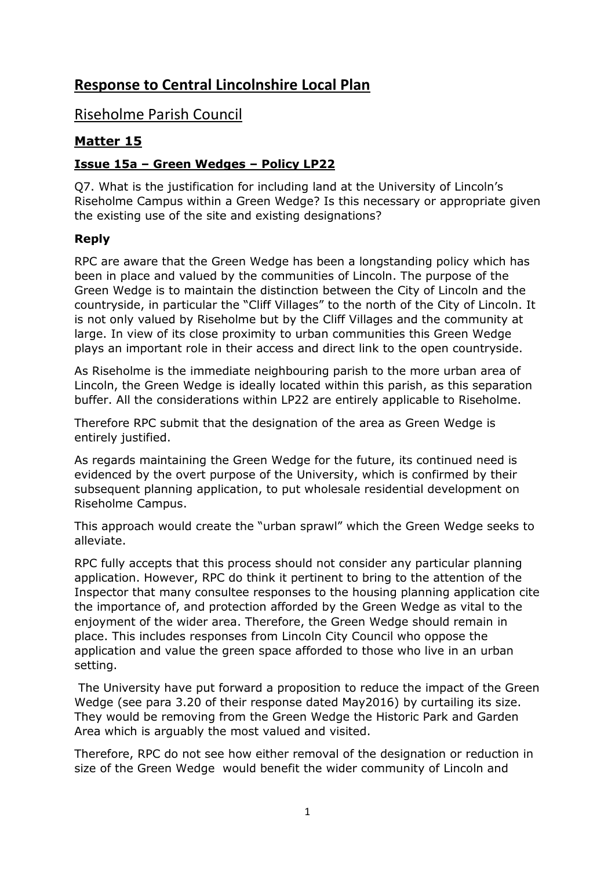# **Response to Central Lincolnshire Local Plan**

## Riseholme Parish Council

## **Matter 15**

### **Issue 15a – Green Wedges – Policy LP22**

Q7. What is the justification for including land at the University of Lincoln's Riseholme Campus within a Green Wedge? Is this necessary or appropriate given the existing use of the site and existing designations?

#### **Reply**

RPC are aware that the Green Wedge has been a longstanding policy which has been in place and valued by the communities of Lincoln. The purpose of the Green Wedge is to maintain the distinction between the City of Lincoln and the countryside, in particular the "Cliff Villages" to the north of the City of Lincoln. It is not only valued by Riseholme but by the Cliff Villages and the community at large. In view of its close proximity to urban communities this Green Wedge plays an important role in their access and direct link to the open countryside.

As Riseholme is the immediate neighbouring parish to the more urban area of Lincoln, the Green Wedge is ideally located within this parish, as this separation buffer. All the considerations within LP22 are entirely applicable to Riseholme.

Therefore RPC submit that the designation of the area as Green Wedge is entirely justified.

As regards maintaining the Green Wedge for the future, its continued need is evidenced by the overt purpose of the University, which is confirmed by their subsequent planning application, to put wholesale residential development on Riseholme Campus.

This approach would create the "urban sprawl" which the Green Wedge seeks to alleviate.

RPC fully accepts that this process should not consider any particular planning application. However, RPC do think it pertinent to bring to the attention of the Inspector that many consultee responses to the housing planning application cite the importance of, and protection afforded by the Green Wedge as vital to the enjoyment of the wider area. Therefore, the Green Wedge should remain in place. This includes responses from Lincoln City Council who oppose the application and value the green space afforded to those who live in an urban setting.

The University have put forward a proposition to reduce the impact of the Green Wedge (see para 3.20 of their response dated May2016) by curtailing its size. They would be removing from the Green Wedge the Historic Park and Garden Area which is arguably the most valued and visited.

Therefore, RPC do not see how either removal of the designation or reduction in size of the Green Wedge would benefit the wider community of Lincoln and